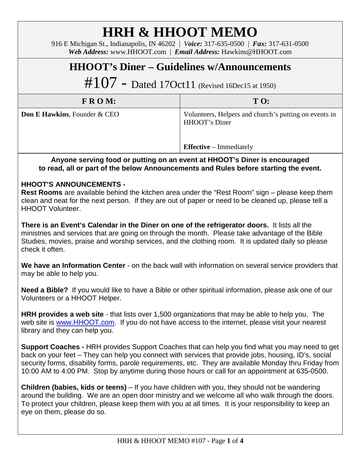# **HRH & HHOOT MEMO**

916 E Michigan St., Indianapolis, IN 46202 | *Voice:* 317-635-0500 | *Fax:* 317-631-0500 *Web Address:* www.HHOOT.com | *Email Address:* Hawkins@HHOOT.com

### **HHOOT's Diner – Guidelines w/Announcements**

 $\#107$  – Dated 17Oct11 (Revised 16Dec15 at 1950)

| FROM:                                   | T O:                                                                                                     |
|-----------------------------------------|----------------------------------------------------------------------------------------------------------|
| <b>Don E Hawkins, Founder &amp; CEO</b> | Volunteers, Helpers and church's putting on events in<br>HHOOT's Diner<br><b>Effective</b> – Immediately |

**Anyone serving food or putting on an event at HHOOT's Diner is encouraged to read, all or part of the below Announcements and Rules before starting the event.**

#### **HHOOT'S ANNOUNCEMENTS -**

**Rest Rooms** are available behind the kitchen area under the "Rest Room" sign – please keep them clean and neat for the next person. If they are out of paper or need to be cleaned up, please tell a HHOOT Volunteer.

**There is an Event's Calendar in the Diner on one of the refrigerator doors.** It lists all the ministries and services that are going on through the month. Please take advantage of the Bible Studies, movies, praise and worship services, and the clothing room. It is updated daily so please check it often.

**We have an Information Center** - on the back wall with information on several service providers that may be able to help you.

**Need a Bible?** If you would like to have a Bible or other spiritual information, please ask one of our Volunteers or a HHOOT Helper.

**HRH provides a web site** - that lists over 1,500 organizations that may be able to help you. The web site is [www.HHOOT.com.](http://www.hhoot.com/) If you do not have access to the internet, please visit your nearest library and they can help you.

**Support Coaches -** HRH provides Support Coaches that can help you find what you may need to get back on your feet – They can help you connect with services that provide jobs, housing, ID's, social security forms, disability forms, parole requirements, etc. They are available Monday thru Friday from 10:00 AM to 4:00 PM. Stop by anytime during those hours or call for an appointment at 635-0500.

**Children (babies, kids or teens)** – If you have children with you, they should not be wandering around the building. We are an open door ministry and we welcome all who walk through the doors. To protect your children, please keep them with you at all times. It is your responsibility to keep an eye on them, please do so.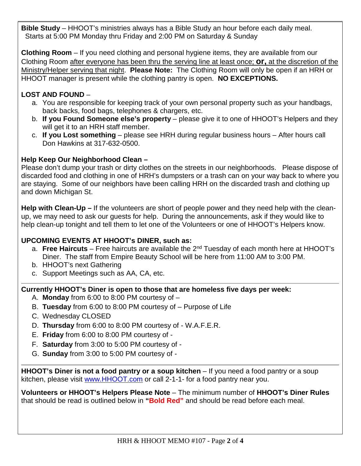**Bible Study** – HHOOT's ministries always has a Bible Study an hour before each daily meal. Starts at 5:00 PM Monday thru Friday and 2:00 PM on Saturday & Sunday

**Clothing Room** – If you need clothing and personal hygiene items, they are available from our Clothing Room after everyone has been thru the serving line at least once; **or,** at the discretion of the Ministry/Helper serving that night. **Please Note:** The Clothing Room will only be open if an HRH or HHOOT manager is present while the clothing pantry is open. **NO EXCEPTIONS.**

#### **LOST AND FOUND** –

- a. You are responsible for keeping track of your own personal property such as your handbags, back backs, food bags, telephones & chargers, etc.
- b. **If you Found Someone else's property** please give it to one of HHOOT's Helpers and they will get it to an HRH staff member.
- c. **If you Lost something** please see HRH during regular business hours After hours call Don Hawkins at 317-632-0500.

#### **Help Keep Our Neighborhood Clean –**

Please don't dump your trash or dirty clothes on the streets in our neighborhoods. Please dispose of discarded food and clothing in one of HRH's dumpsters or a trash can on your way back to where you are staying. Some of our neighbors have been calling HRH on the discarded trash and clothing up and down Michigan St.

**Help with Clean-Up –** If the volunteers are short of people power and they need help with the cleanup, we may need to ask our guests for help. During the announcements, ask if they would like to help clean-up tonight and tell them to let one of the Volunteers or one of HHOOT's Helpers know.

#### **UPCOMING EVENTS AT HHOOT's DINER, such as:**

- a. **Free Haircuts** Free haircuts are available the 2nd Tuesday of each month here at HHOOT's Diner. The staff from Empire Beauty School will be here from 11:00 AM to 3:00 PM.
- b. HHOOT's next Gathering
- c. Support Meetings such as AA, CA, etc.

#### **Currently HHOOT's Diner is open to those that are homeless five days per week:**

- A. **Monday** from 6:00 to 8:00 PM courtesy of –
- B. **Tuesday** from 6:00 to 8:00 PM courtesy of Purpose of Life
- C. Wednesday CLOSED
- D. **Thursday** from 6:00 to 8:00 PM courtesy of W.A.F.E.R.
- E. **Friday** from 6:00 to 8:00 PM courtesy of -
- F. **Saturday** from 3:00 to 5:00 PM courtesy of -
- G. **Sunday** from 3:00 to 5:00 PM courtesy of -

**HHOOT's Diner is not a food pantry or a soup kitchen** – If you need a food pantry or a soup kitchen, please visit [www.HHOOT.com](http://www.hhoot.com/) or call 2-1-1- for a food pantry near you.

**Volunteers or HHOOT's Helpers Please Note** – The minimum number of **HHOOT's Diner Rules** that should be read is outlined below in **"Bold Red"** and should be read before each meal.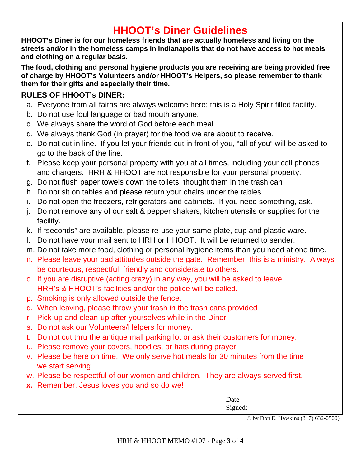## **HHOOT's Diner Guidelines**

**HHOOT's Diner is for our homeless friends that are actually homeless and living on the streets and/or in the homeless camps in Indianapolis that do not have access to hot meals and clothing on a regular basis.**

**The food, clothing and personal hygiene products you are receiving are being provided free of charge by HHOOT's Volunteers and/or HHOOT's Helpers, so please remember to thank them for their gifts and especially their time.**

#### **RULES OF HHOOT's DINER:**

- a. Everyone from all faiths are always welcome here; this is a Holy Spirit filled facility.
- b. Do not use foul language or bad mouth anyone.
- c. We always share the word of God before each meal.
- d. We always thank God (in prayer) for the food we are about to receive.
- e. Do not cut in line. If you let your friends cut in front of you, "all of you" will be asked to go to the back of the line.
- f. Please keep your personal property with you at all times, including your cell phones and chargers. HRH & HHOOT are not responsible for your personal property.
- g. Do not flush paper towels down the toilets, thought them in the trash can
- h. Do not sit on tables and please return your chairs under the tables
- i. Do not open the freezers, refrigerators and cabinets. If you need something, ask.
- j. Do not remove any of our salt & pepper shakers, kitchen utensils or supplies for the facility.
- k. If "seconds" are available, please re-use your same plate, cup and plastic ware.
- l. Do not have your mail sent to HRH or HHOOT. It will be returned to sender.
- m. Do not take more food, clothing or personal hygiene items than you need at one time.
- n. Please leave your bad attitudes outside the gate. Remember, this is a ministry. Always be courteous, respectful, friendly and considerate to others.
- o. If you are disruptive (acting crazy) in any way, you will be asked to leave HRH's & HHOOT's facilities and/or the police will be called.
- p. Smoking is only allowed outside the fence.
- q. When leaving, please throw your trash in the trash cans provided
- r. Pick-up and clean-up after yourselves while in the Diner
- s. Do not ask our Volunteers/Helpers for money.
- t. Do not cut thru the antique mall parking lot or ask their customers for money.
- u. Please remove your covers, hoodies, or hats during prayer.
- v. Please be here on time. We only serve hot meals for 30 minutes from the time we start serving.
- w. Please be respectful of our women and children. They are always served first.
- **x.** Remember, Jesus loves you and so do we!

| Date                  |
|-----------------------|
| $\Omega$ :<br>Signed: |
|                       |

© by Don E. Hawkins (317) 632-0500)